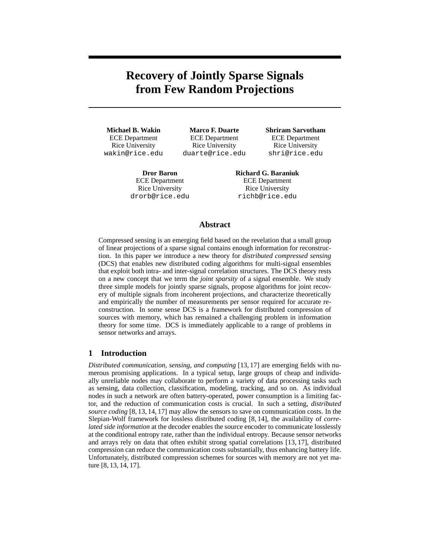# **Recovery of Jointly Sparse Signals from Few Random Projections**

**Michael B. Wakin** ECE Department Rice University wakin@rice.edu

**Marco F. Duarte** ECE Department Rice University duarte@rice.edu

**Dror Baron** ECE Department Rice University drorb@rice.edu

shri@rice.edu **Richard G. Baraniuk** ECE Department

**Shriram Sarvotham** ECE Department Rice University

Rice University richb@rice.edu

## **Abstract**

Compressed sensing is an emerging field based on the revelation that a small group of linear projections of a sparse signal contains enough information for reconstruction. In this paper we introduce a new theory for *distributed compressed sensing* (DCS) that enables new distributed coding algorithms for multi-signal ensembles that exploit both intra- and inter-signal correlation structures. The DCS theory rests on a new concept that we term the *joint sparsity* of a signal ensemble. We study three simple models for jointly sparse signals, propose algorithms for joint recovery of multiple signals from incoherent projections, and characterize theoretically and empirically the number of measurements per sensor required for accurate reconstruction. In some sense DCS is a framework for distributed compression of sources with memory, which has remained a challenging problem in information theory for some time. DCS is immediately applicable to a range of problems in sensor networks and arrays.

## **1 Introduction**

*Distributed communication, sensing, and computing* [13, 17] are emerging fields with numerous promising applications. In a typical setup, large groups of cheap and individually unreliable nodes may collaborate to perform a variety of data processing tasks such as sensing, data collection, classification, modeling, tracking, and so on. As individual nodes in such a network are often battery-operated, power consumption is a limiting factor, and the reduction of communication costs is crucial. In such a setting, *distributed source coding* [8, 13, 14, 17] may allow the sensors to save on communication costs. In the Slepian-Wolf framework for lossless distributed coding [8, 14], the availability of *correlated side information* at the decoder enables the source encoder to communicate losslessly at the conditional entropy rate, rather than the individual entropy. Because sensor networks and arrays rely on data that often exhibit strong spatial correlations [13, 17], distributed compression can reduce the communication costs substantially, thus enhancing battery life. Unfortunately, distributed compression schemes for sources with memory are not yet mature [8, 13, 14, 17].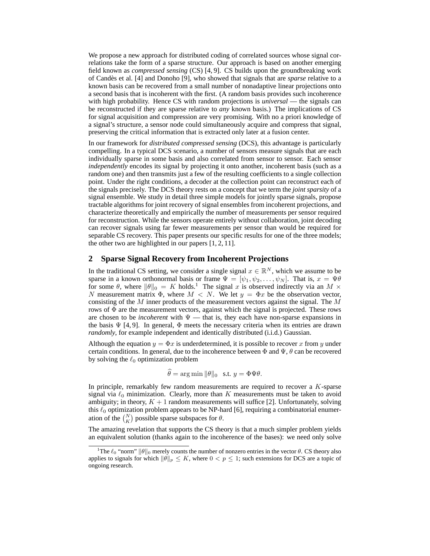We propose a new approach for distributed coding of correlated sources whose signal correlations take the form of a sparse structure. Our approach is based on another emerging field known as *compressed sensing* (CS) [4, 9]. CS builds upon the groundbreaking work of Candes et al. [4] and Donoho [9], who showed that signals that are ` *sparse* relative to a known basis can be recovered from a small number of nonadaptive linear projections onto a second basis that is incoherent with the first. (A random basis provides such incoherence with high probability. Hence CS with random projections is *universal* — the signals can be reconstructed if they are sparse relative to *any* known basis.) The implications of CS for signal acquisition and compression are very promising. With no a priori knowledge of a signal's structure, a sensor node could simultaneously acquire and compress that signal, preserving the critical information that is extracted only later at a fusion center.

In our framework for *distributed compressed sensing* (DCS), this advantage is particularly compelling. In a typical DCS scenario, a number of sensors measure signals that are each individually sparse in some basis and also correlated from sensor to sensor. Each sensor *independently* encodes its signal by projecting it onto another, incoherent basis (such as a random one) and then transmits just a few of the resulting coefficients to a single collection point. Under the right conditions, a decoder at the collection point can reconstruct each of the signals precisely. The DCS theory rests on a concept that we term the *joint sparsity* of a signal ensemble. We study in detail three simple models for jointly sparse signals, propose tractable algorithms for joint recovery of signal ensembles from incoherent projections, and characterize theoretically and empirically the number of measurements per sensor required for reconstruction. While the sensors operate entirely without collaboration, joint decoding can recover signals using far fewer measurements per sensor than would be required for separable CS recovery. This paper presents our specific results for one of the three models; the other two are highlighted in our papers [1, 2, 11].

## **2 Sparse Signal Recovery from Incoherent Projections**

In the traditional CS setting, we consider a single signal  $x \in \mathbb{R}^N$ , which we assume to be sparse in a known orthonormal basis or frame  $\Psi = [\psi_1, \psi_2, \dots, \psi_N]$ . That is,  $x = \Psi \theta$ for some  $\theta$ , where  $\|\theta\|_0 = K$  holds.<sup>1</sup> The signal x is observed indirectly via an M  $\times$ N measurement matrix  $\Phi$ , where  $M \leq N$ . We let  $y = \Phi x$  be the observation vector, consisting of the  $M$  inner products of the measurement vectors against the signal. The  $M$ rows of  $\Phi$  are the measurement vectors, against which the signal is projected. These rows are chosen to be *incoherent* with  $\Psi$  — that is, they each have non-sparse expansions in the basis  $\Psi$  [4, 9]. In general,  $\Phi$  meets the necessary criteria when its entries are drawn *randomly*, for example independent and identically distributed (i.i.d.) Gaussian.

Although the equation  $y = \Phi x$  is underdetermined, it is possible to recover x from y under certain conditions. In general, due to the incoherence between  $\Phi$  and  $\Psi$ ,  $\theta$  can be recovered by solving the  $\ell_0$  optimization problem

$$
\theta = \arg \min \|\theta\|_0 \quad \text{s.t. } y = \Phi \Psi \theta.
$$

In principle, remarkably few random measurements are required to recover a K-sparse signal via  $\ell_0$  minimization. Clearly, more than K measurements must be taken to avoid ambiguity; in theory,  $K + 1$  random measurements will suffice [2]. Unfortunately, solving this  $\ell_0$  optimization problem appears to be NP-hard [6], requiring a combinatorial enumeration of the  $\binom{N}{K}$  possible sparse subspaces for  $\theta$ .

The amazing revelation that supports the CS theory is that a much simpler problem yields an equivalent solution (thanks again to the incoherence of the bases): we need only solve

<sup>&</sup>lt;sup>1</sup>The  $\ell_0$  "norm"  $\|\theta\|_0$  merely counts the number of nonzero entries in the vector  $\theta$ . CS theory also applies to signals for which  $\|\theta\|_p \leq K$ , where  $0 < p \leq 1$ ; such extensions for DCS are a topic of ongoing research.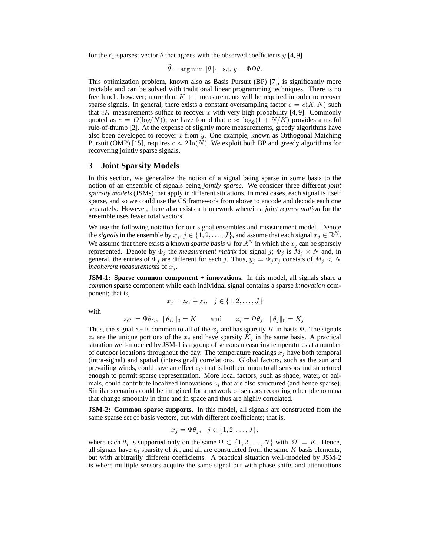for the  $\ell_1$ -sparsest vector  $\theta$  that agrees with the observed coefficients y [4, 9]

$$
\theta = \arg \min \|\theta\|_1 \quad \text{s.t. } y = \Phi \Psi \theta.
$$

This optimization problem, known also as Basis Pursuit (BP) [7], is significantly more tractable and can be solved with traditional linear programming techniques. There is no free lunch, however; more than  $K + 1$  measurements will be required in order to recover sparse signals. In general, there exists a constant oversampling factor  $c = c(K, N)$  such that  $cK$  measurements suffice to recover x with very high probability [4, 9]. Commonly quoted as  $c = O(\log(N))$ , we have found that  $c \approx \log_2(1 + N/K)$  provides a useful rule-of-thumb [2]. At the expense of slightly more measurements, greedy algorithms have also been developed to recover  $x$  from  $y$ . One example, known as Orthogonal Matching Pursuit (OMP) [15], requires  $c \approx 2 \ln(N)$ . We exploit both BP and greedy algorithms for recovering jointly sparse signals.

## **3 Joint Sparsity Models**

In this section, we generalize the notion of a signal being sparse in some basis to the notion of an ensemble of signals being *jointly sparse*. We consider three different *joint sparsity models* (JSMs) that apply in different situations. In most cases, each signal is itself sparse, and so we could use the CS framework from above to encode and decode each one separately. However, there also exists a framework wherein a *joint representation* for the ensemble uses fewer total vectors.

We use the following notation for our signal ensembles and measurement model. Denote the *signals* in the ensemble by  $x_j$ ,  $j \in \{1, 2, ..., J\}$ , and assume that each signal  $x_j \in \mathbb{R}^N$ . We assume that there exists a known *sparse basis*  $\hat{\Psi}$  for  $\mathbb{R}^N$  in which the  $x_j$  can be sparsely represented. Denote by  $\Phi_j$  the *measurement matrix* for signal j;  $\Phi_j$  is  $M_j \times N$  and, in general, the entries of  $\Phi_i$  are different for each j. Thus,  $y_i = \Phi_i x_i$  consists of  $M_i < N$ *incoherent measurements* of  $x_i$ .

**JSM-1: Sparse common component + innovations.** In this model, all signals share a *common* sparse component while each individual signal contains a sparse *innovation* component; that is,

$$
x_j = z_C + z_j, \ \ j \in \{1, 2, \dots, J\}
$$

with

 $z_C = \Psi \theta_C, \|\theta_C\|_0 = K$  and  $z_j = \Psi \theta_j, \|\theta_j\|_0 = K_j$ .

Thus, the signal  $z_C$  is common to all of the  $x_j$  and has sparsity K in basis Ψ. The signals  $z_j$  are the unique portions of the  $x_j$  and have sparsity  $K_j$  in the same basis. A practical situation well-modeled by JSM-1 is a group of sensors measuring temperatures at a number of outdoor locations throughout the day. The temperature readings  $x_j$  have both temporal (intra-signal) and spatial (inter-signal) correlations. Global factors, such as the sun and prevailing winds, could have an effect  $z_C$  that is both common to all sensors and structured enough to permit sparse representation. More local factors, such as shade, water, or animals, could contribute localized innovations  $z_i$  that are also structured (and hence sparse). Similar scenarios could be imagined for a network of sensors recording other phenomena that change smoothly in time and in space and thus are highly correlated.

**JSM-2: Common sparse supports.** In this model, all signals are constructed from the same sparse set of basis vectors, but with different coefficients; that is,

$$
x_j = \Psi \theta_j, \quad j \in \{1, 2, \dots, J\},\
$$

where each  $\theta_i$  is supported only on the same  $\Omega \subset \{1, 2, ..., N\}$  with  $|\Omega| = K$ . Hence, all signals have  $\ell_0$  sparsity of K, and all are constructed from the same K basis elements, but with arbitrarily different coefficients. A practical situation well-modeled by JSM-2 is where multiple sensors acquire the same signal but with phase shifts and attenuations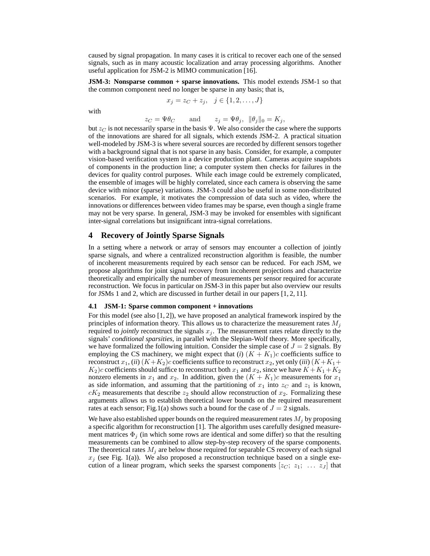caused by signal propagation. In many cases it is critical to recover each one of the sensed signals, such as in many acoustic localization and array processing algorithms. Another useful application for JSM-2 is MIMO communication [16].

**JSM-3: Nonsparse common + sparse innovations.** This model extends JSM-1 so that the common component need no longer be sparse in any basis; that is,

$$
x_j = z_C + z_j, \ \ j \in \{1, 2, \dots, J\}
$$

with

 $z_C = \Psi \theta_C$  and  $z_j = \Psi \theta_j$ ,  $\|\theta_j\|_0 = K_j$ ,

but  $z<sub>C</sub>$  is not necessarily sparse in the basis Ψ. We also consider the case where the supports of the innovations are shared for all signals, which extends JSM-2. A practical situation well-modeled by JSM-3 is where several sources are recorded by different sensors together with a background signal that is not sparse in any basis. Consider, for example, a computer vision-based verification system in a device production plant. Cameras acquire snapshots of components in the production line; a computer system then checks for failures in the devices for quality control purposes. While each image could be extremely complicated, the ensemble of images will be highly correlated, since each camera is observing the same device with minor (sparse) variations. JSM-3 could also be useful in some non-distributed scenarios. For example, it motivates the compression of data such as video, where the innovations or differences between video frames may be sparse, even though a single frame may not be very sparse. In general, JSM-3 may be invoked for ensembles with significant inter-signal correlations but insignificant intra-signal correlations.

## **4 Recovery of Jointly Sparse Signals**

In a setting where a network or array of sensors may encounter a collection of jointly sparse signals, and where a centralized reconstruction algorithm is feasible, the number of incoherent measurements required by each sensor can be reduced. For each JSM, we propose algorithms for joint signal recovery from incoherent projections and characterize theoretically and empirically the number of measurements per sensor required for accurate reconstruction. We focus in particular on JSM-3 in this paper but also overview our results for JSMs 1 and 2, which are discussed in further detail in our papers [1, 2, 11].

#### **4.1 JSM-1: Sparse common component + innovations**

For this model (see also [1, 2]), we have proposed an analytical framework inspired by the principles of information theory. This allows us to characterize the measurement rates  $M_i$ required to *jointly* reconstruct the signals  $x_j$ . The measurement rates relate directly to the signals' *conditional sparsities*, in parallel with the Slepian-Wolf theory. More specifically, we have formalized the following intuition. Consider the simple case of  $J = 2$  signals. By employing the CS machinery, we might expect that (*i*)  $(K + K_1)c$  coefficients suffice to reconstruct  $x_1$ , (*ii*)  $(K+K_2)c$  coefficients suffice to reconstruct  $x_2$ , yet only (*iii*)  $(K+K_1+$  $K_2$ )c coefficients should suffice to reconstruct both  $x_1$  and  $x_2$ , since we have  $K + K_1 + K_2$ nonzero elements in  $x_1$  and  $x_2$ . In addition, given the  $(K + K_1)c$  measurements for  $x_1$ as side information, and assuming that the partitioning of  $x_1$  into  $z_C$  and  $z_1$  is known,  $cK_2$  measurements that describe  $z_2$  should allow reconstruction of  $x_2$ . Formalizing these arguments allows us to establish theoretical lower bounds on the required measurement rates at each sensor; Fig.1(a) shows such a bound for the case of  $J = 2$  signals.

We have also established upper bounds on the required measurement rates  $M_i$  by proposing a specific algorithm for reconstruction [1]. The algorithm uses carefully designed measurement matrices  $\Phi_i$  (in which some rows are identical and some differ) so that the resulting measurements can be combined to allow step-by-step recovery of the sparse components. The theoretical rates  $M_i$  are below those required for separable CS recovery of each signal  $x_j$  (see Fig. 1(a)). We also proposed a reconstruction technique based on a single execution of a linear program, which seeks the sparsest components  $[z<sub>C</sub>; z<sub>1</sub>; \ldots z<sub>J</sub>]$  that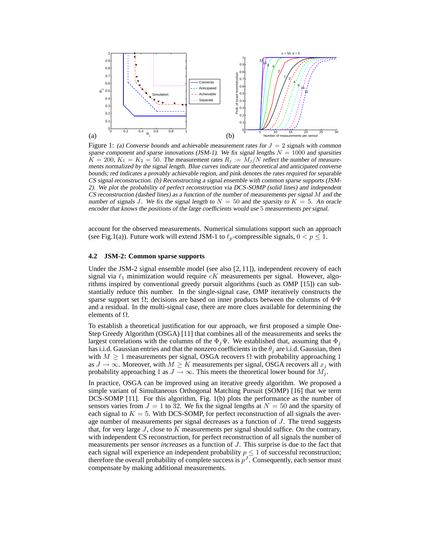

Figure 1: (a) Converse bounds and achievable measurement rates for  $J = 2$  signals with common sparse component and sparse innovations (JSM-1). We fix signal lengths  $N = 1000$  and sparsities  $K = 200, K_1 = K_2 = 50$ . The measurement rates  $R_i := M_i/N$  reflect the number of measurements normalized by the signal length. Blue curves indicate our theoretical and anticipated converse bounds; red indicates <sup>a</sup> provably achievable region, and pink denotes the rates required for separable CS signal reconstruction. (b) Reconstructing a signal ensemble with common sparse supports (JSM-2). We plot the probability of perfect reconstruction via DCS-SOMP (solid lines) and independent CS reconstruction (dashed lines) as <sup>a</sup> function of the number of measurements per signal M and the number of signals J. We fix the signal length to  $N = 50$  and the sparsity to  $K = 5$ . An oracle encoder that knows the positions of the large coefficients would use 5 measurements per signal.

account for the observed measurements. Numerical simulations support such an approach (see Fig.1(a)). Future work will extend JSM-1 to  $\ell_p$ -compressible signals,  $0 < p \leq 1$ .

### **4.2 JSM-2: Common sparse supports**

Under the JSM-2 signal ensemble model (see also [2, 11]), independent recovery of each signal via  $\ell_1$  minimization would require cK measurements per signal. However, algorithms inspired by conventional greedy pursuit algorithms (such as OMP [15]) can substantially reduce this number. In the single-signal case, OMP iteratively constructs the sparse support set  $\Omega$ ; decisions are based on inner products between the columns of  $\Phi\Psi$ and a residual. In the multi-signal case, there are more clues available for determining the elements of  $\Omega$ .

To establish a theoretical justification for our approach, we first proposed a simple One-Step Greedy Algorithm (OSGA) [11] that combines all of the measurements and seeks the largest correlations with the columns of the  $\Phi_j \Psi$ . We established that, assuming that  $\Phi_j$ has i.i.d. Gaussian entries and that the nonzero coefficients in the  $\theta_i$  are i.i.d. Gaussian, then with  $M \geq 1$  measurements per signal, OSGA recovers  $\Omega$  with probability approaching 1 as  $J \to \infty$ . Moreover, with  $M \geq K$  measurements per signal, OSGA recovers all  $x_i$  with probability approaching 1 as  $J \to \infty$ . This meets the theoretical lower bound for  $M_i$ .

In practice, OSGA can be improved using an iterative greedy algorithm. We proposed a simple variant of Simultaneous Orthogonal Matching Pursuit (SOMP) [16] that we term DCS-SOMP [11]. For this algorithm, Fig. 1(b) plots the performance as the number of sensors varies from  $J = 1$  to 32. We fix the signal lengths at  $N = 50$  and the sparsity of each signal to  $K = 5$ . With DCS-SOMP, for perfect reconstruction of all signals the average number of measurements per signal decreases as a function of  $J$ . The trend suggests that, for very large  $J$ , close to  $K$  measurements per signal should suffice. On the contrary, with independent CS reconstruction, for perfect reconstruction of all signals the number of measurements per sensor *increases* as a function of J. This surprise is due to the fact that each signal will experience an independent probability  $p \leq 1$  of successful reconstruction; therefore the overall probability of complete success is  $p<sup>J</sup>$ . Consequently, each sensor must compensate by making additional measurements.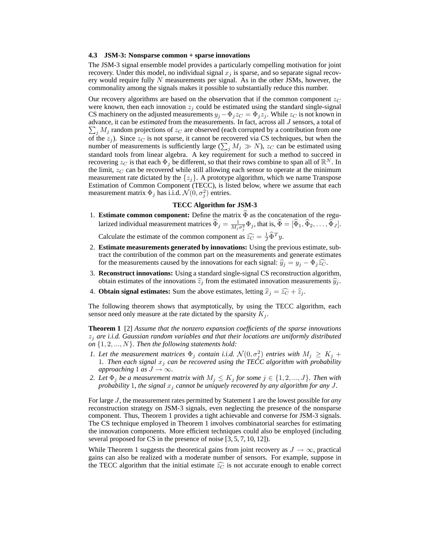#### **4.3 JSM-3: Nonsparse common + sparse innovations**

The JSM-3 signal ensemble model provides a particularly compelling motivation for joint recovery. Under this model, no individual signal  $x_j$  is sparse, and so separate signal recovery would require fully  $N$  measurements per signal. As in the other JSMs, however, the commonality among the signals makes it possible to substantially reduce this number.

Our recovery algorithms are based on the observation that if the common component  $z_C$ were known, then each innovation  $z_j$  could be estimated using the standard single-signal CS machinery on the adjusted measurements  $y_j - \Phi_j z_c = \Phi_j z_j$ . While  $z_c$  is not known in advance, it can be *estimated* from the measurements. In fact, across all J sensors, a total of  $\sum_j M_j$  random projections of  $z_C$  are observed (each corrupted by a contribution from one of the  $z_j$ ). Since  $z_c$  is not sparse, it cannot be recovered via CS techniques, but when the number of measurements is sufficiently large ( $\sum_j M_j \gg N$ ),  $z_C$  can be estimated using standard tools from linear algebra. A key requirement for such a method to succeed in recovering  $z_C$  is that each  $\Phi_j$  be different, so that their rows combine to span all of  $\mathbb{R}^N$ . In the limit,  $z_C$  can be recovered while still allowing each sensor to operate at the minimum measurement rate dictated by the  $\{z_i\}$ . A prototype algorithm, which we name Transpose Estimation of Common Component (TECC), is listed below, where we assume that each measurement matrix  $\Phi_j$  has i.i.d.  $\mathcal{N}(0, \sigma_j^2)$  entries.

## **TECC Algorithm for JSM-3**

1. **Estimate common component:** Define the matrix  $\widehat{\Phi}$  as the concatenation of the regularized individual measurement matrices  $\widehat{\Phi}_j = \frac{1}{M_{ij}}$  $\frac{1}{M_j \sigma_j^2} \Phi_j$ , that is,  $\Phi = [\Phi_1, \Phi_2, \dots, \Phi_J].$ 

Calculate the estimate of the common component as  $\hat{z}_C = \frac{1}{J} \hat{\Phi}^T y$ .

- 2. **Estimate measurements generated by innovations:** Using the previous estimate, subtract the contribution of the common part on the measurements and generate estimates for the measurements caused by the innovations for each signal:  $\hat{y}_j = y_j - \Phi_j \hat{z}_C$ .
- 3. **Reconstruct innovations:** Using a standard single-signal CS reconstruction algorithm, obtain estimates of the innovations  $\hat{z}_j$  from the estimated innovation measurements  $\hat{y}_j$ .
- 4. **Obtain signal estimates:** Sum the above estimates, letting  $\hat{x}_j = \hat{z}_C + \hat{z}_j$ .

The following theorem shows that asymptotically, by using the TECC algorithm, each sensor need only measure at the rate dictated by the sparsity  $K_i$ .

**Theorem 1** [2] *Assume that the nonzero expansion coefficients of the sparse innovations* z<sup>j</sup> *are i.i.d. Gaussian random variables and that their locations are uniformly distributed on* {1, 2,...,N}*. Then the following statements hold:*

- *1. Let the measurement matrices*  $\Phi_j$  *contain i.i.d.*  $\mathcal{N}(0, \sigma_j^2)$  *entries with*  $M_j \geq K_j + 1$ 1*. Then each signal* x<sup>j</sup> *can be recovered using the TECC algorithm with probability approaching* 1 *as*  $J \rightarrow \infty$ *.*
- *2. Let*  $\Phi_j$  *be a measurement matrix with*  $M_j \leq K_j$  *for some*  $j \in \{1, 2, ..., J\}$ *. Then with probability* 1*, the signal*  $x_j$  *cannot be uniquely recovered by any algorithm for any J.*

For large J, the measurement rates permitted by Statement 1 are the lowest possible for *any* reconstruction strategy on JSM-3 signals, even neglecting the presence of the nonsparse component. Thus, Theorem 1 provides a tight achievable and converse for JSM-3 signals. The CS technique employed in Theorem 1 involves combinatorial searches for estimating the innovation components. More efficient techniques could also be employed (including several proposed for CS in the presence of noise [3, 5, 7, 10, 12]).

While Theorem 1 suggests the theoretical gains from joint recovery as  $J \to \infty$ , practical gains can also be realized with a moderate number of sensors. For example, suppose in the TECC algorithm that the initial estimate  $\hat{z}_C$  is not accurate enough to enable correct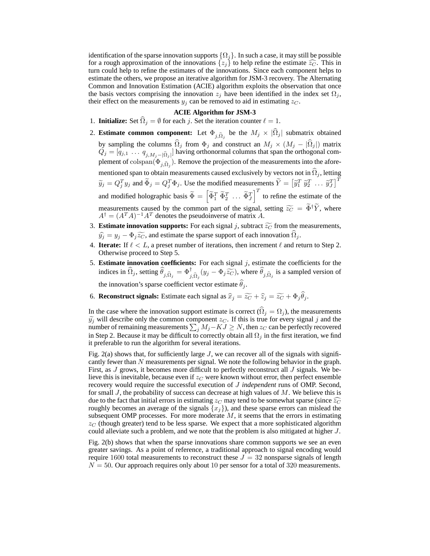identification of the sparse innovation supports  $\{\Omega_i\}$ . In such a case, it may still be possible for a rough approximation of the innovations  $\{z_j\}$  to help refine the estimate  $\widehat{z}_C$ . This in turn could help to refine the estimates of the innovations. Since each component helps to estimate the others, we propose an iterative algorithm for JSM-3 recovery. The Alternating Common and Innovation Estimation (ACIE) algorithm exploits the observation that once the basis vectors comprising the innovation  $z_i$  have been identified in the index set  $\Omega_i$ , their effect on the measurements  $y_i$  can be removed to aid in estimating  $z_C$ .

#### **ACIE Algorithm for JSM-3**

- 1. **Initialize:** Set  $\widehat{\Omega}_i = \emptyset$  for each j. Set the iteration counter  $\ell = 1$ .
- 2. **Estimate common component:** Let  $\Phi_{j,\hat{\Omega}_j}$  be the  $M_j \times |\Omega_j|$  submatrix obtained by sampling the columns  $\widehat{\Omega}_j$  from  $\Phi_j$  and construct an  $M_j \times (M_j - |\widehat{\Omega}_j|)$  matrix  $Q_j = [q_{j,1} \dots q_{j,M_j-|\widehat{\Omega}_j|}]$  having orthonormal columns that span the orthogonal complement of colspan $(\Phi_{j,\hat{\Omega}_j})$ . Remove the projection of the measurements into the aforementioned span to obtain measurements caused exclusively by vectors not in  $\Omega_j$ , letting  $\widetilde{y}_j = Q_j^T y_j$  and  $\widetilde{\Phi}_j = Q_j^T \Phi_j$ . Use the modified measurements  $\widetilde{Y} = \begin{bmatrix} \widetilde{y}_1^T \ \widetilde{y}_2^T \ \ldots \ \widetilde{y}_J^T \end{bmatrix}^T$ and modified holographic basis  $\widetilde{\Phi} = \begin{bmatrix} \widetilde{\Phi}_1^T \ \widetilde{\Phi}_2^T \ \dots \ \widetilde{\Phi}_J^T \end{bmatrix}$  $\int_0^T$  to refine the estimate of the measurements caused by the common part of the signal, setting  $\widetilde{z}_C = \widetilde{\Phi}^{\dagger} \widetilde{Y}$ , where  $A^{\dagger} = (A^T A)^{-1} A^T$  denotes the pseudoinverse of matrix  $A$ .
- 3. **Estimate innovation supports:** For each signal j, subtract  $\widetilde{z}_C$  from the measurements,  $\hat{y}_j = y_j - \Phi_j \tilde{z}_C$ , and estimate the sparse support of each innovation  $\hat{\Omega}_j$ .
- 4. **Iterate:** If  $\ell < L$ , a preset number of iterations, then increment  $\ell$  and return to Step 2. Otherwise proceed to Step 5.
- 5. **Estimate innovation coefficients:** For each signal j, estimate the coefficients for the indices in  $\widehat{\Omega}_j$ , setting  $\widehat{\theta}_{j,\widehat{\Omega}_j} = \Phi_{j,\widehat{\Omega}_j}^{\dagger}(y_j - \Phi_j \widetilde{z_C})$ , where  $\widehat{\theta}_{j,\widehat{\Omega}_j}$  is a sampled version of the innovation's sparse coefficient vector estimate  $\widehat{\theta}_i$ .
- 6. **Reconstruct signals:** Estimate each signal as  $\hat{x}_j = \widetilde{z}_C + \hat{z}_j = \widetilde{z}_C + \Phi_j \widehat{\theta}_j$ .

In the case where the innovation support estimate is correct ( $\hat{\Omega}_j = \Omega_j$ ), the measurements  $\widetilde{y}_j$  will describe only the common component  $z_C$ . If this is true for every signal j and the number of remaining measurements  $\sum_j M_j - KJ \ge N$ , then  $z_C$  can be perfectly recovered in Step 2. Because it may be difficult to correctly obtain all  $\Omega_i$  in the first iteration, we find it preferable to run the algorithm for several iterations.

Fig. 2(a) shows that, for sufficiently large  $J$ , we can recover all of the signals with significantly fewer than  $N$  measurements per signal. We note the following behavior in the graph. First, as  $J$  grows, it becomes more difficult to perfectly reconstruct all  $J$  signals. We believe this is inevitable, because even if  $z<sub>C</sub>$  were known without error, then perfect ensemble recovery would require the successful execution of J *independent* runs of OMP. Second, for small  $J$ , the probability of success can decrease at high values of  $M$ . We believe this is due to the fact that initial errors in estimating  $z_C$  may tend to be somewhat sparse (since  $\widehat{z_C}$ roughly becomes an average of the signals  $\{x_i\}$ , and these sparse errors can mislead the subsequent OMP processes. For more moderate  $M$ , it seems that the errors in estimating  $z_{\text{C}}$  (though greater) tend to be less sparse. We expect that a more sophisticated algorithm could alleviate such a problem, and we note that the problem is also mitigated at higher J.

Fig. 2(b) shows that when the sparse innovations share common supports we see an even greater savings. As a point of reference, a traditional approach to signal encoding would require 1600 total measurements to reconstruct these  $J = 32$  nonsparse signals of length  $N = 50$ . Our approach requires only about 10 per sensor for a total of 320 measurements.